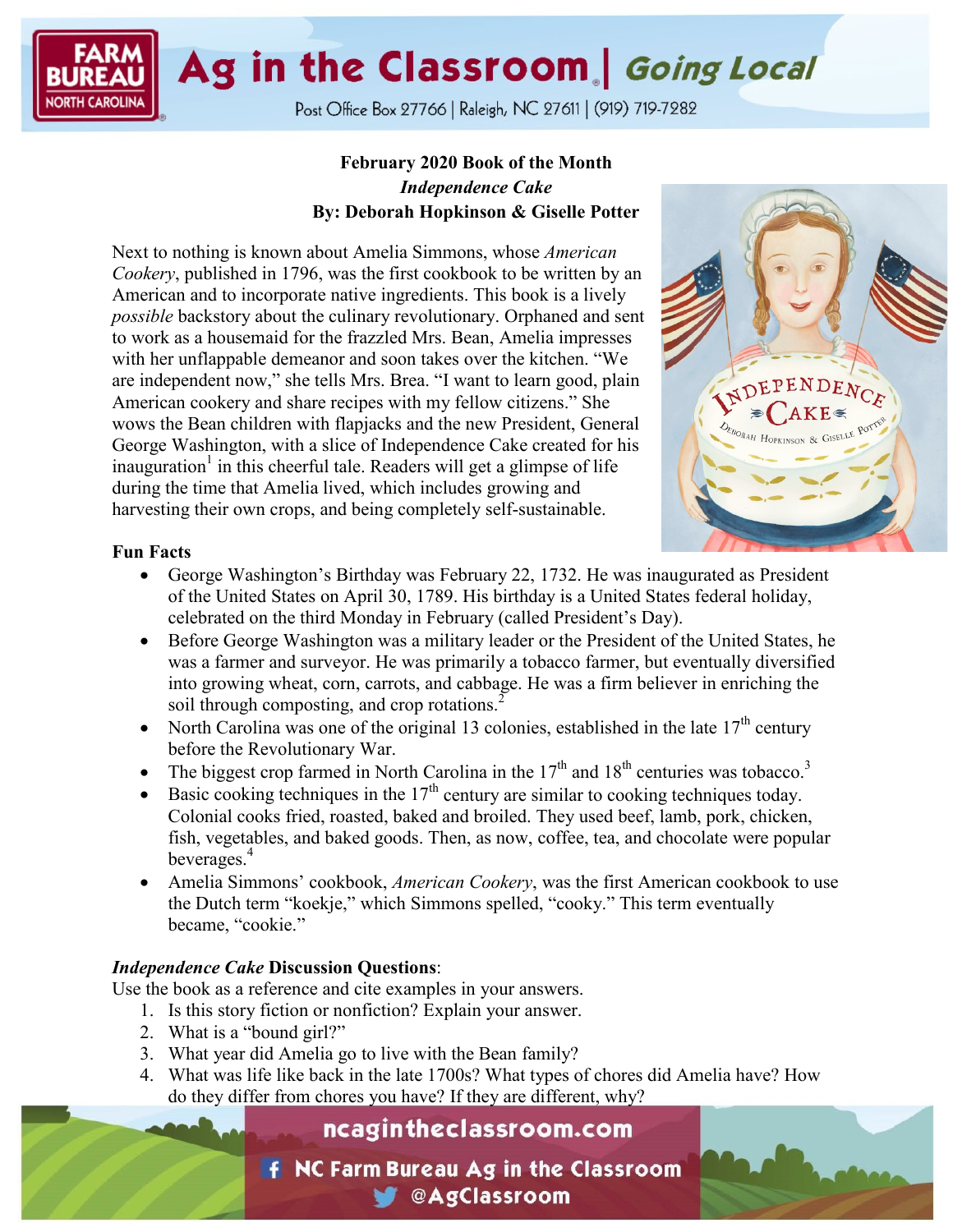Ag in the Classroom | Going Local

Post Office Box 27766 | Raleigh, NC 27611 | (919) 719-7282

# **February 2020 Book of the Month** *Independence Cake* **By: Deborah Hopkinson & Giselle Potter**

Next to nothing is known about Amelia Simmons, whose *American Cookery*, published in 1796, was the first cookbook to be written by an American and to incorporate native ingredients. This book is a lively *possible* backstory about the culinary revolutionary. Orphaned and sent to work as a housemaid for the frazzled Mrs. Bean, Amelia impresses with her unflappable demeanor and soon takes over the kitchen. "We are independent now," she tells Mrs. Brea. "I want to learn good, plain American cookery and share recipes with my fellow citizens." She wows the Bean children with flapjacks and the new President, General George Washington, with a slice of Independence Cake created for his inauguration<sup>1</sup> in this cheerful tale. Readers will get a glimpse of life during the time that Amelia lived, which includes growing and harvesting their own crops, and being completely self-sustainable.



# **Fun Facts**

- George Washington's Birthday was February 22, 1732. He was inaugurated as President of the United States on April 30, 1789. His birthday is a United States federal holiday, celebrated on the third Monday in February (called President's Day).
- Before George Washington was a military leader or the President of the United States, he was a farmer and surveyor. He was primarily a tobacco farmer, but eventually diversified into growing wheat, corn, carrots, and cabbage. He was a firm believer in enriching the soil through composting, and crop rotations.<sup>2</sup>
- North Carolina was one of the original 13 colonies, established in the late  $17<sup>th</sup>$  century before the Revolutionary War.
- The biggest crop farmed in North Carolina in the  $17<sup>th</sup>$  and  $18<sup>th</sup>$  centuries was tobacco.<sup>3</sup>
- Basic cooking techniques in the  $17<sup>th</sup>$  century are similar to cooking techniques today. Colonial cooks fried, roasted, baked and broiled. They used beef, lamb, pork, chicken, fish, vegetables, and baked goods. Then, as now, coffee, tea, and chocolate were popular beverages.<sup>4</sup>
- Amelia Simmons' cookbook, *American Cookery*, was the first American cookbook to use the Dutch term "koekje," which Simmons spelled, "cooky." This term eventually became, "cookie."

# *Independence Cake* **Discussion Questions**:

Use the book as a reference and cite examples in your answers.

- 1. Is this story fiction or nonfiction? Explain your answer.
- 2. What is a "bound girl?"
- 3. What year did Amelia go to live with the Bean family?
- 4. What was life like back in the late 1700s? What types of chores did Amelia have? How do they differ from chores you have? If they are different, why?

# ncagintheclassroom.com

**f** NC Farm Bureau Ag in the Classroom **CAgClassroom**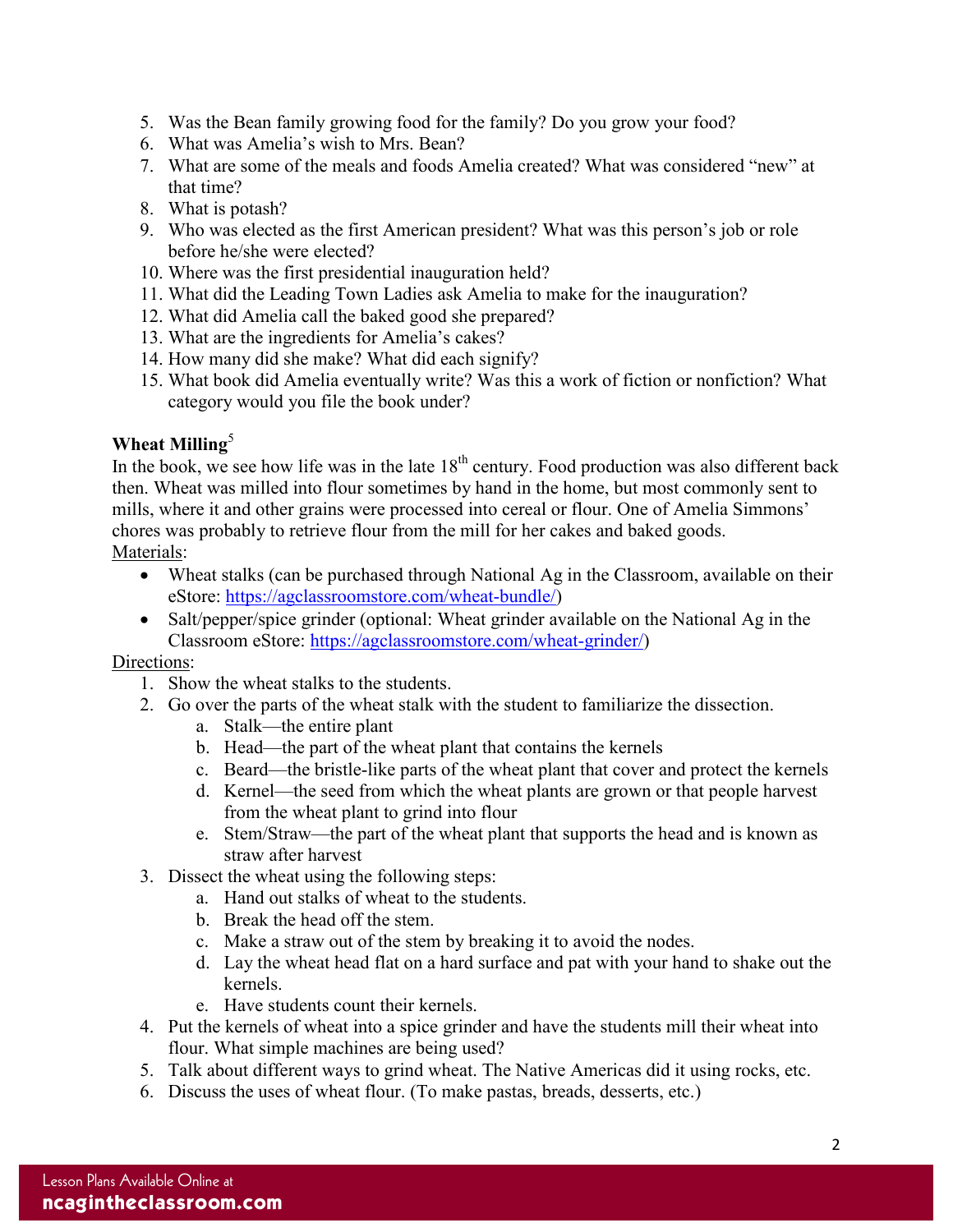- 5. Was the Bean family growing food for the family? Do you grow your food?
- 6. What was Amelia's wish to Mrs. Bean?
- 7. What are some of the meals and foods Amelia created? What was considered "new" at that time?
- 8. What is potash?
- 9. Who was elected as the first American president? What was this person's job or role before he/she were elected?
- 10. Where was the first presidential inauguration held?
- 11. What did the Leading Town Ladies ask Amelia to make for the inauguration?
- 12. What did Amelia call the baked good she prepared?
- 13. What are the ingredients for Amelia's cakes?
- 14. How many did she make? What did each signify?
- 15. What book did Amelia eventually write? Was this a work of fiction or nonfiction? What category would you file the book under?

# **Wheat Milling**<sup>5</sup>

In the book, we see how life was in the late  $18<sup>th</sup>$  century. Food production was also different back then. Wheat was milled into flour sometimes by hand in the home, but most commonly sent to mills, where it and other grains were processed into cereal or flour. One of Amelia Simmons' chores was probably to retrieve flour from the mill for her cakes and baked goods. Materials:

- Wheat stalks (can be purchased through National Ag in the Classroom, available on their eStore: [https://agclassroomstore.com/wheat-bundle/\)](https://agclassroomstore.com/wheat-bundle/)
- Salt/pepper/spice grinder (optional: Wheat grinder available on the National Ag in the Classroom eStore: [https://agclassroomstore.com/wheat-grinder/\)](https://agclassroomstore.com/wheat-grinder/)

# Directions:

- 1. Show the wheat stalks to the students.
- 2. Go over the parts of the wheat stalk with the student to familiarize the dissection.
	- a. Stalk—the entire plant
	- b. Head—the part of the wheat plant that contains the kernels
	- c. Beard—the bristle-like parts of the wheat plant that cover and protect the kernels
	- d. Kernel—the seed from which the wheat plants are grown or that people harvest from the wheat plant to grind into flour
	- e. Stem/Straw—the part of the wheat plant that supports the head and is known as straw after harvest
- 3. Dissect the wheat using the following steps:
	- a. Hand out stalks of wheat to the students.
	- b. Break the head off the stem.
	- c. Make a straw out of the stem by breaking it to avoid the nodes.
	- d. Lay the wheat head flat on a hard surface and pat with your hand to shake out the kernels.
	- e. Have students count their kernels.
- 4. Put the kernels of wheat into a spice grinder and have the students mill their wheat into flour. What simple machines are being used?
- 5. Talk about different ways to grind wheat. The Native Americas did it using rocks, etc.
- 6. Discuss the uses of wheat flour. (To make pastas, breads, desserts, etc.)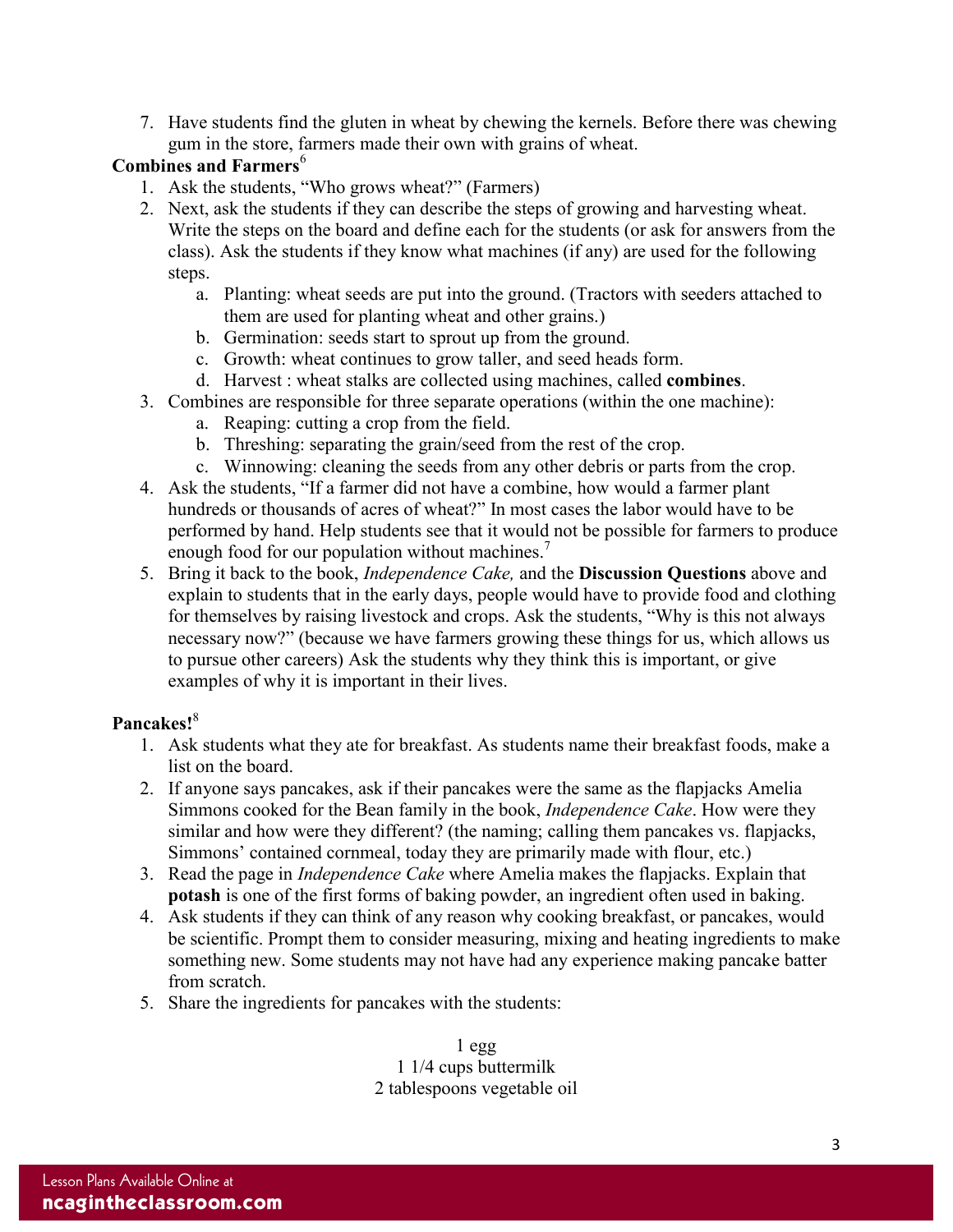7. Have students find the gluten in wheat by chewing the kernels. Before there was chewing gum in the store, farmers made their own with grains of wheat.

# **Combines and Farmers**<sup>6</sup>

- 1. Ask the students, "Who grows wheat?" (Farmers)
- 2. Next, ask the students if they can describe the steps of growing and harvesting wheat. Write the steps on the board and define each for the students (or ask for answers from the class). Ask the students if they know what machines (if any) are used for the following steps.
	- a. Planting: wheat seeds are put into the ground. (Tractors with seeders attached to them are used for planting wheat and other grains.)
	- b. Germination: seeds start to sprout up from the ground.
	- c. Growth: wheat continues to grow taller, and seed heads form.
	- d. Harvest : wheat stalks are collected using machines, called **combines**.
- 3. Combines are responsible for three separate operations (within the one machine):
	- a. Reaping: cutting a crop from the field.
	- b. Threshing: separating the grain/seed from the rest of the crop.
	- c. Winnowing: cleaning the seeds from any other debris or parts from the crop.
- 4. Ask the students, "If a farmer did not have a combine, how would a farmer plant hundreds or thousands of acres of wheat?" In most cases the labor would have to be performed by hand. Help students see that it would not be possible for farmers to produce enough food for our population without machines.<sup>7</sup>
- 5. Bring it back to the book, *Independence Cake,* and the **Discussion Questions** above and explain to students that in the early days, people would have to provide food and clothing for themselves by raising livestock and crops. Ask the students, "Why is this not always necessary now?" (because we have farmers growing these things for us, which allows us to pursue other careers) Ask the students why they think this is important, or give examples of why it is important in their lives.

# **Pancakes!**<sup>8</sup>

- 1. Ask students what they ate for breakfast. As students name their breakfast foods, make a list on the board.
- 2. If anyone says pancakes, ask if their pancakes were the same as the flapjacks Amelia Simmons cooked for the Bean family in the book, *Independence Cake*. How were they similar and how were they different? (the naming; calling them pancakes vs. flapjacks, Simmons' contained cornmeal, today they are primarily made with flour, etc.)
- 3. Read the page in *Independence Cake* where Amelia makes the flapjacks. Explain that **potash** is one of the first forms of baking powder, an ingredient often used in baking.
- 4. Ask students if they can think of any reason why cooking breakfast, or pancakes, would be scientific. Prompt them to consider measuring, mixing and heating ingredients to make something new. Some students may not have had any experience making pancake batter from scratch.
- 5. Share the ingredients for pancakes with the students:

1 egg 1 1/4 cups buttermilk 2 tablespoons vegetable oil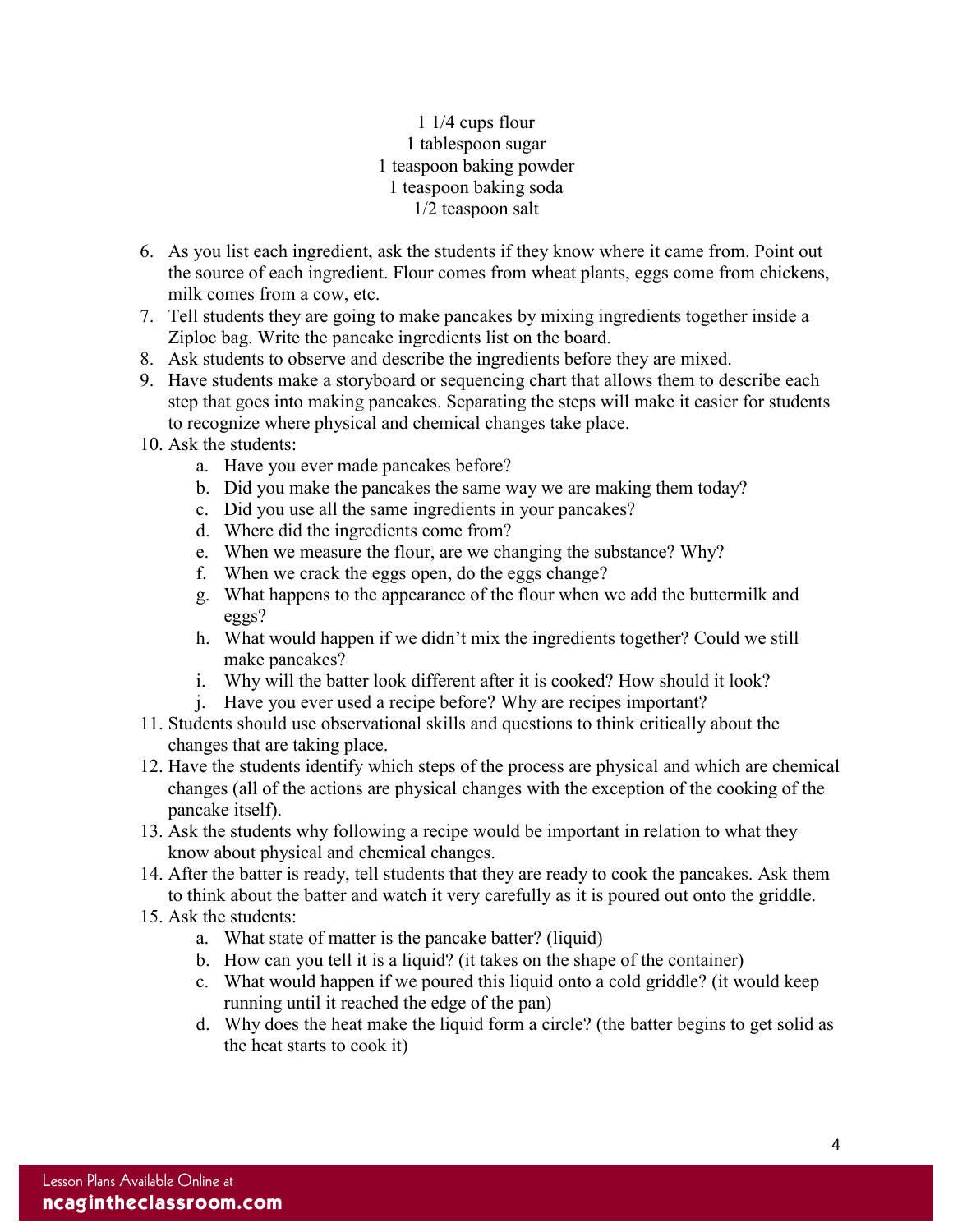# 1 1/4 cups flour 1 tablespoon sugar 1 teaspoon baking powder 1 teaspoon baking soda 1/2 teaspoon salt

- 6. As you list each ingredient, ask the students if they know where it came from. Point out the source of each ingredient. Flour comes from wheat plants, eggs come from chickens, milk comes from a cow, etc.
- 7. Tell students they are going to make pancakes by mixing ingredients together inside a Ziploc bag. Write the pancake ingredients list on the board.
- 8. Ask students to observe and describe the ingredients before they are mixed.
- 9. Have students make a storyboard or sequencing chart that allows them to describe each step that goes into making pancakes. Separating the steps will make it easier for students to recognize where physical and chemical changes take place.
- 10. Ask the students:
	- a. Have you ever made pancakes before?
	- b. Did you make the pancakes the same way we are making them today?
	- c. Did you use all the same ingredients in your pancakes?
	- d. Where did the ingredients come from?
	- e. When we measure the flour, are we changing the substance? Why?
	- f. When we crack the eggs open, do the eggs change?
	- g. What happens to the appearance of the flour when we add the buttermilk and eggs?
	- h. What would happen if we didn't mix the ingredients together? Could we still make pancakes?
	- i. Why will the batter look different after it is cooked? How should it look?
	- j. Have you ever used a recipe before? Why are recipes important?
- 11. Students should use observational skills and questions to think critically about the changes that are taking place.
- 12. Have the students identify which steps of the process are physical and which are chemical changes (all of the actions are physical changes with the exception of the cooking of the pancake itself).
- 13. Ask the students why following a recipe would be important in relation to what they know about physical and chemical changes.
- 14. After the batter is ready, tell students that they are ready to cook the pancakes. Ask them to think about the batter and watch it very carefully as it is poured out onto the griddle.
- 15. Ask the students:
	- a. What state of matter is the pancake batter? (liquid)
	- b. How can you tell it is a liquid? (it takes on the shape of the container)
	- c. What would happen if we poured this liquid onto a cold griddle? (it would keep running until it reached the edge of the pan)
	- d. Why does the heat make the liquid form a circle? (the batter begins to get solid as the heat starts to cook it)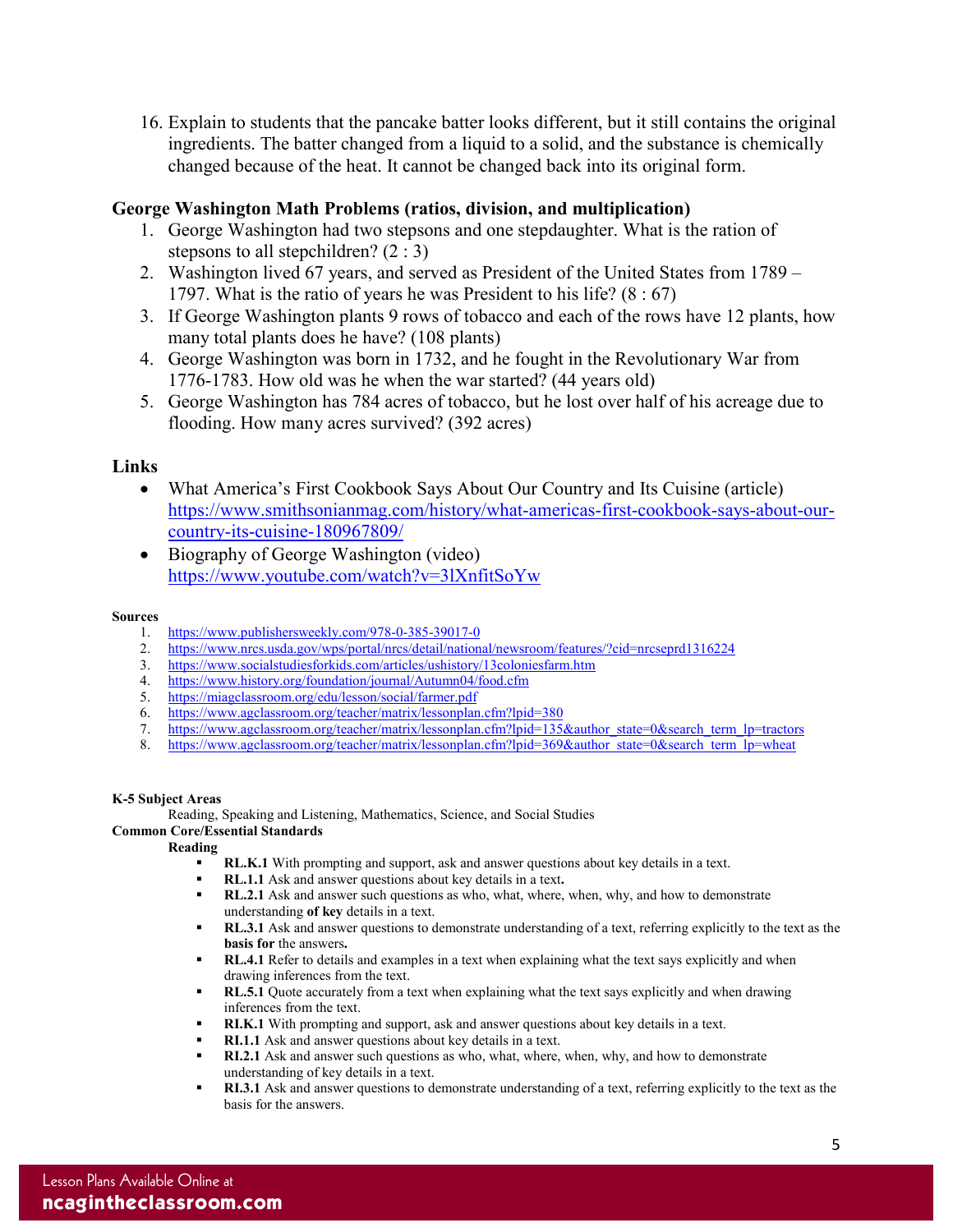16. Explain to students that the pancake batter looks different, but it still contains the original ingredients. The batter changed from a liquid to a solid, and the substance is chemically changed because of the heat. It cannot be changed back into its original form.

### **George Washington Math Problems (ratios, division, and multiplication)**

- 1. George Washington had two stepsons and one stepdaughter. What is the ration of stepsons to all stepchildren? (2 : 3)
- 2. Washington lived 67 years, and served as President of the United States from 1789 1797. What is the ratio of years he was President to his life? (8 : 67)
- 3. If George Washington plants 9 rows of tobacco and each of the rows have 12 plants, how many total plants does he have? (108 plants)
- 4. George Washington was born in 1732, and he fought in the Revolutionary War from 1776-1783. How old was he when the war started? (44 years old)
- 5. George Washington has 784 acres of tobacco, but he lost over half of his acreage due to flooding. How many acres survived? (392 acres)

### **Links**

- What America's First Cookbook Says About Our Country and Its Cuisine (article) [https://www.smithsonianmag.com/history/what-americas-first-cookbook-says-about-our](https://www.smithsonianmag.com/history/what-americas-first-cookbook-says-about-our-country-its-cuisine-180967809/)[country-its-cuisine-180967809/](https://www.smithsonianmag.com/history/what-americas-first-cookbook-says-about-our-country-its-cuisine-180967809/)
- Biography of George Washington (video) <https://www.youtube.com/watch?v=3lXnfitSoYw>

### **Sources**

- 1. <https://www.publishersweekly.com/978-0-385-39017-0>
- 2. <https://www.nrcs.usda.gov/wps/portal/nrcs/detail/national/newsroom/features/?cid=nrcseprd1316224>
- 3. <https://www.socialstudiesforkids.com/articles/ushistory/13coloniesfarm.htm>
- 4. <https://www.history.org/foundation/journal/Autumn04/food.cfm>
- 5. <https://miagclassroom.org/edu/lesson/social/farmer.pdf>
- 6. <https://www.agclassroom.org/teacher/matrix/lessonplan.cfm?lpid=380>
- 7. [https://www.agclassroom.org/teacher/matrix/lessonplan.cfm?lpid=135&author\\_state=0&search\\_term\\_lp=tractors](https://www.agclassroom.org/teacher/matrix/lessonplan.cfm?lpid=135&author_state=0&search_term_lp=tractors)
- 8. [https://www.agclassroom.org/teacher/matrix/lessonplan.cfm?lpid=369&author\\_state=0&search\\_term\\_lp=wheat](https://www.agclassroom.org/teacher/matrix/lessonplan.cfm?lpid=369&author_state=0&search_term_lp=wheat)

### **K-5 Subject Areas**

Reading, Speaking and Listening, Mathematics, Science, and Social Studies

# **Common Core/Essential Standards**

**Reading**

- **RL.K.1** With prompting and support, ask and answer questions about key details in a text.
- **RL.1.1** Ask and answer questions about key details in a text.<br>**RL.2.1** Ask and answer such questions as who, what, where
- **RL.2.1** Ask and answer such questions as who, what, where, when, why, and how to demonstrate understanding **of key** details in a text.
- **RL.3.1** Ask and answer questions to demonstrate understanding of a text, referring explicitly to the text as the **basis for** the answers**.**
- **RL.4.1** Refer to details and examples in a text when explaining what the text says explicitly and when drawing inferences from the text.
- **RL.5.1** Quote accurately from a text when explaining what the text says explicitly and when drawing inferences from the text.
- **RI.K.1** With prompting and support, ask and answer questions about key details in a text.
- **RI.1.1** Ask and answer questions about key details in a text.
- **RI.2.1** Ask and answer such questions as who, what, where, when, why, and how to demonstrate understanding of key details in a text.
- **RI.3.1** Ask and answer questions to demonstrate understanding of a text, referring explicitly to the text as the basis for the answers.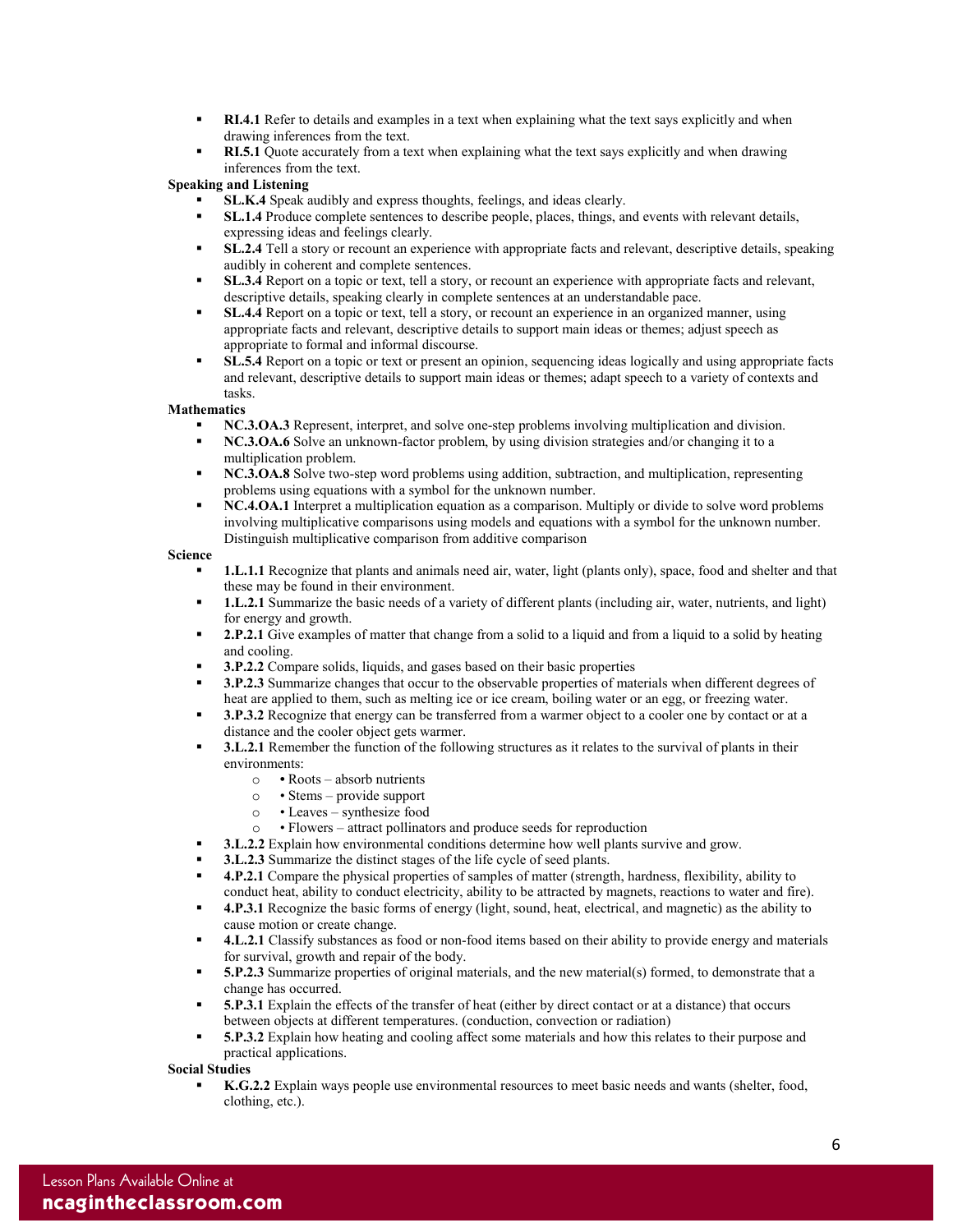- **RI.4.1** Refer to details and examples in a text when explaining what the text says explicitly and when drawing inferences from the text.
- **RI.5.1** Quote accurately from a text when explaining what the text says explicitly and when drawing inferences from the text.

### **Speaking and Listening**

- **SL.K.4** Speak audibly and express thoughts, feelings, and ideas clearly.
- **SL.1.4** Produce complete sentences to describe people, places, things, and events with relevant details, expressing ideas and feelings clearly.
- **SL.2.4** Tell a story or recount an experience with appropriate facts and relevant, descriptive details, speaking audibly in coherent and complete sentences.
- **SL.3.4** Report on a topic or text, tell a story, or recount an experience with appropriate facts and relevant, descriptive details, speaking clearly in complete sentences at an understandable pace.
- **SL.4.4** Report on a topic or text, tell a story, or recount an experience in an organized manner, using appropriate facts and relevant, descriptive details to support main ideas or themes; adjust speech as appropriate to formal and informal discourse.
- **SL.5.4** Report on a topic or text or present an opinion, sequencing ideas logically and using appropriate facts and relevant, descriptive details to support main ideas or themes; adapt speech to a variety of contexts and tasks.

### **Mathematics**

- **NC.3.OA.3** Represent, interpret, and solve one-step problems involving multiplication and division.
- **NC.3.OA.6** Solve an unknown-factor problem, by using division strategies and/or changing it to a multiplication problem.
- **NC.3.OA.8** Solve two-step word problems using addition, subtraction, and multiplication, representing problems using equations with a symbol for the unknown number.
- **NC.4.OA.1** Interpret a multiplication equation as a comparison. Multiply or divide to solve word problems involving multiplicative comparisons using models and equations with a symbol for the unknown number. Distinguish multiplicative comparison from additive comparison

### **Science**

- **1.L.1.1** Recognize that plants and animals need air, water, light (plants only), space, food and shelter and that these may be found in their environment.
- **1.L.2.1** Summarize the basic needs of a variety of different plants (including air, water, nutrients, and light) for energy and growth.
- **2.P.2.1** Give examples of matter that change from a solid to a liquid and from a liquid to a solid by heating and cooling.
- **3.P.2.2** Compare solids, liquids, and gases based on their basic properties
- **3.P.2.3** Summarize changes that occur to the observable properties of materials when different degrees of heat are applied to them, such as melting ice or ice cream, boiling water or an egg, or freezing water.
- **3.P.3.2** Recognize that energy can be transferred from a warmer object to a cooler one by contact or at a distance and the cooler object gets warmer.
- **3.L.2.1** Remember the function of the following structures as it relates to the survival of plants in their environments:
	- o Roots absorb nutrients
	- Stems provide support
	- o Leaves synthesize food
	- o Flowers attract pollinators and produce seeds for reproduction
- **3.L.2.2** Explain how environmental conditions determine how well plants survive and grow.
- **3.L.2.3** Summarize the distinct stages of the life cycle of seed plants.
- **4.P.2.1** Compare the physical properties of samples of matter (strength, hardness, flexibility, ability to conduct heat, ability to conduct electricity, ability to be attracted by magnets, reactions to water and fire).
- **4.P.3.1** Recognize the basic forms of energy (light, sound, heat, electrical, and magnetic) as the ability to cause motion or create change.
- **4.L.2.1** Classify substances as food or non-food items based on their ability to provide energy and materials for survival, growth and repair of the body.
- **5.P.2.3** Summarize properties of original materials, and the new material(s) formed, to demonstrate that a change has occurred.
- **5.P.3.1** Explain the effects of the transfer of heat (either by direct contact or at a distance) that occurs between objects at different temperatures. (conduction, convection or radiation)
- **5.P.3.2** Explain how heating and cooling affect some materials and how this relates to their purpose and practical applications.

### **Social Studies**

 **K.G.2.2** Explain ways people use environmental resources to meet basic needs and wants (shelter, food, clothing, etc.).